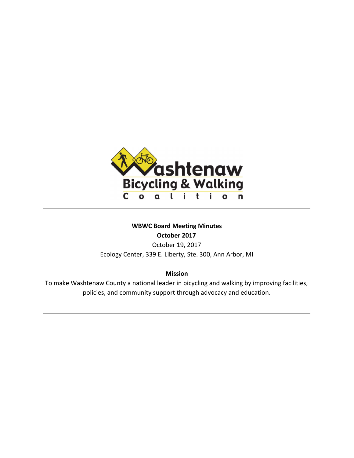

# **WBWC Board Meeting Minutes October 2017**

October 19, 2017 Ecology Center, 339 E. Liberty, Ste. 300, Ann Arbor, MI

**Mission**

To make Washtenaw County a national leader in bicycling and walking by improving facilities, policies, and community support through advocacy and education.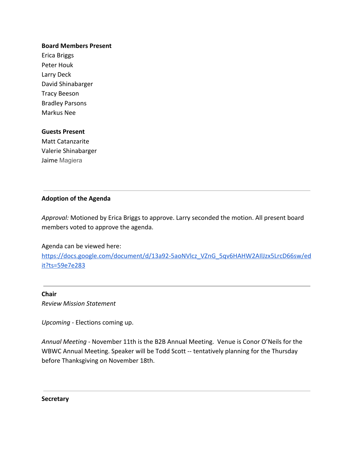#### **Board Members Present**

Erica Briggs Peter Houk Larry Deck David Shinabarger Tracy Beeson Bradley Parsons Markus Nee

#### **Guests Present**

Matt Catanzarite Valerie Shinabarger Jaime Magiera

# **Adoption of the Agenda**

*Approval:* Motioned by Erica Briggs to approve. Larry seconded the motion. All present board members voted to approve the agenda.

Agenda can be viewed here:

[https://docs.google.com/document/d/13a92-5aoNVlcz\\_VZnG\\_5qv6HAHW2AIlJzx5LrcD66sw/ed](https://docs.google.com/document/d/13a92-5aoNVlcz_VZnG_5qv6HAHW2AIlJzx5LrcD66sw/edit?ts=59e7e283) [it?ts=59e7e283](https://docs.google.com/document/d/13a92-5aoNVlcz_VZnG_5qv6HAHW2AIlJzx5LrcD66sw/edit?ts=59e7e283)

# **Chair**

*Review Mission Statement*

*Upcoming -* Elections coming up.

*Annual Meeting -* November 11th is the B2B Annual Meeting. Venue is Conor O'Neils for the WBWC Annual Meeting. Speaker will be Todd Scott -- tentatively planning for the Thursday before Thanksgiving on November 18th.

**Secretary**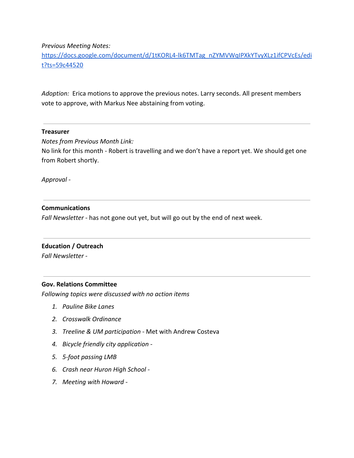*Previous Meeting Notes:*

[https://docs.google.com/document/d/1tKORL4-lk6TMTag\\_nZYMVWqIPXkYTvyXLz1ifCPVcEs/edi](https://docs.google.com/document/d/1tKORL4-lk6TMTag_nZYMVWqIPXkYTvyXLz1ifCPVcEs/edit?ts=59c44520) [t?ts=59c44520](https://docs.google.com/document/d/1tKORL4-lk6TMTag_nZYMVWqIPXkYTvyXLz1ifCPVcEs/edit?ts=59c44520)

*Adoption:* Erica motions to approve the previous notes. Larry seconds. All present members vote to approve, with Markus Nee abstaining from voting.

#### **Treasurer**

*Notes from Previous Month Link:*

No link for this month - Robert is travelling and we don't have a report yet. We should get one from Robert shortly.

*Approval -*

### **Communications**

*Fall Newsletter* - has not gone out yet, but will go out by the end of next week.

### **Education / Outreach**

*Fall Newsletter -*

### **Gov. Relations Committee**

*Following topics were discussed with no action items*

- *1. Pauline Bike Lanes*
- *2. Crosswalk Ordinance*
- *3. Treeline & UM participation* Met with Andrew Costeva
- *4. Bicycle friendly city application -*
- *5. 5-foot passing LMB*
- *6. Crash near Huron High School -*
- *7. Meeting with Howard -*